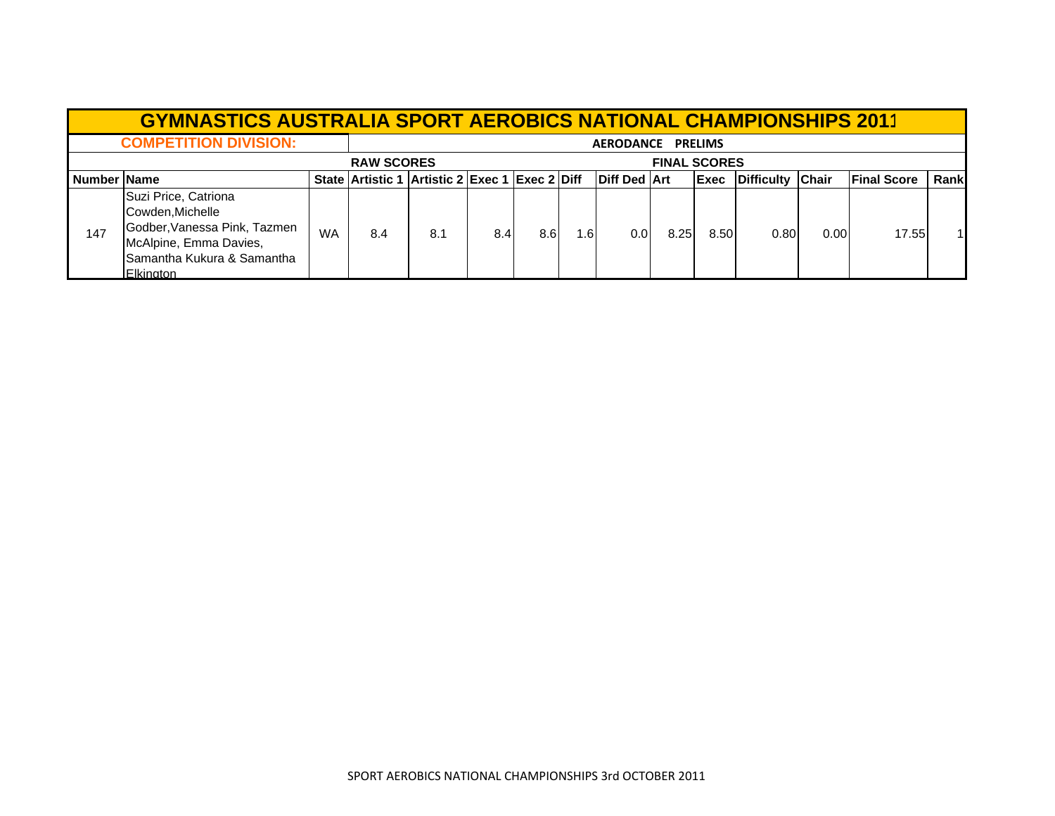|             | <b>GYMNASTICS AUSTRALIA SPORT AEROBICS NATIONAL CHAMPIONSHIPS 2011</b>                                                                               |                   |     |                                                |     |                  |      |                       |      |              |                  |      |                    |       |
|-------------|------------------------------------------------------------------------------------------------------------------------------------------------------|-------------------|-----|------------------------------------------------|-----|------------------|------|-----------------------|------|--------------|------------------|------|--------------------|-------|
|             | <b>COMPETITION DIVISION:</b>                                                                                                                         | AERODANCE PRELIMS |     |                                                |     |                  |      |                       |      |              |                  |      |                    |       |
|             |                                                                                                                                                      | <b>RAW SCORES</b> |     |                                                |     |                  |      | <b>FINAL SCORES</b>   |      |              |                  |      |                    |       |
| Number Name |                                                                                                                                                      |                   |     | State Artistic 1 Artistic 2 Exec 1 Exec 2 Diff |     |                  |      | <b>IDiff Ded IArt</b> |      | <b>IExec</b> | Difficulty Chair |      | <b>Final Score</b> | Rankl |
| 147         | Suzi Price, Catriona<br>Cowden, Michelle<br>Godber, Vanessa Pink, Tazmen<br>McAlpine, Emma Davies,<br>Samantha Kukura & Samantha<br><b>Elkington</b> | WA                | 8.4 | 8.1                                            | 8.4 | 8.6 <sup>1</sup> | l.6l | 0.01                  | 8.25 | 8.50         | 0.80             | 0.00 | 17.55              |       |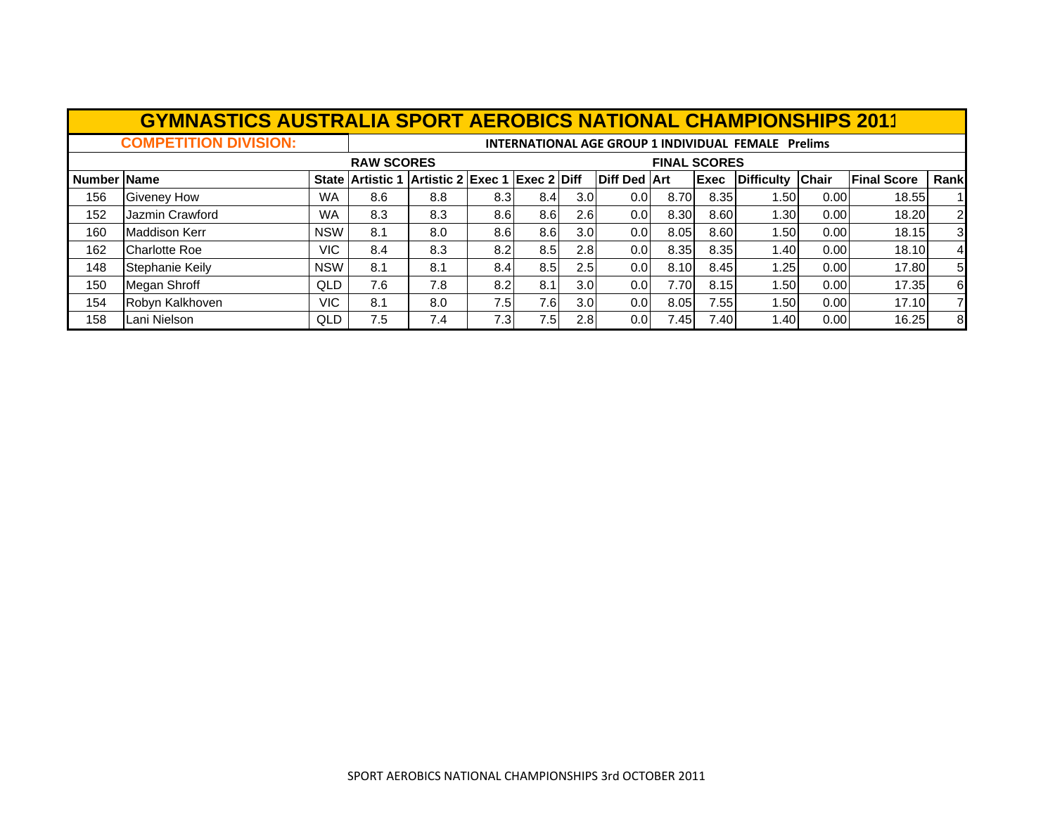|             | <b>GYMNASTICS AUSTRALIA SPORT AEROBICS NATIONAL CHAMPIONSHIPS 2011</b> |            |                         |                                                            |      |                  |                  |                     |       |                     |                    |              |                    |                |  |
|-------------|------------------------------------------------------------------------|------------|-------------------------|------------------------------------------------------------|------|------------------|------------------|---------------------|-------|---------------------|--------------------|--------------|--------------------|----------------|--|
|             | <b>COMPETITION DIVISION:</b>                                           |            |                         | <b>INTERNATIONAL AGE GROUP 1 INDIVIDUAL FEMALE Prelims</b> |      |                  |                  |                     |       |                     |                    |              |                    |                |  |
|             |                                                                        |            | <b>RAW SCORES</b>       |                                                            |      |                  |                  |                     |       | <b>FINAL SCORES</b> |                    |              |                    |                |  |
| Number Name |                                                                        |            | <b>State Artistic 1</b> | Artistic 2 Exec 1 Exec 2 Diff                              |      |                  |                  | <b>Diff Ded Art</b> |       | <b>Exec</b>         | <b>IDifficulty</b> | <b>Chair</b> | <b>Final Score</b> | Rank           |  |
| 156         | <b>Giveney How</b>                                                     | <b>WA</b>  | 8.6                     | 8.8                                                        | 8.3  | 8.4              | 3.0              | 0.0                 | 8.70  | 8.35                | 1.501              | 0.00         | 18.55              | $\mathbf{1}$   |  |
| 152         | Jazmin Crawford                                                        | <b>WA</b>  | 8.3                     | 8.3                                                        | 8.6  | 8.6 <sup>°</sup> | 2.6 <sub>l</sub> | 0.01                | 8.30  | 8.60                | 1.30               | 0.00         | 18.20              | $\overline{2}$ |  |
| 160         | Maddison Kerr                                                          | <b>NSW</b> | 8.1                     | 8.0                                                        | 8.6  | 8.6 <sup>°</sup> | 3.0 <sub>l</sub> | 0.01                | 8.05  | 8.60                | 1.50               | 0.00         | 18.15              | $\mathbf{3}$   |  |
| 162         | Charlotte Roe                                                          | VIC        | 8.4                     | 8.3                                                        | 8.2  | 8.5              | 2.81             | 0.01                | 8.35  | 8.35                | 1.40               | 0.00         | 18.10              | 4              |  |
| 148         | Stephanie Keily                                                        | <b>NSW</b> | 8.1                     | 8.1                                                        | 8.4  | 8.5              | 2.5 <sub>1</sub> | 0.0                 | 8.10  | 8.45                | 1.25               | 0.00         | 17.80              | 5 <sub>l</sub> |  |
| 150         | Megan Shroff                                                           | QLD        | 7.6                     | 7.8                                                        | 8.2  | 8.1              | 3.0 <sub>l</sub> | 0.01                | 7.70  | 8.15                | 1.50               | 0.00         | 17.35              | $6 \mid$       |  |
| 154         | Robyn Kalkhoven                                                        | VIC        | 8.1                     | 8.0                                                        | 7.5I | 7.6I             | 3.0 <sub>l</sub> | 0.01                | 8.05  | 7.55                | 1.501              | 0.00         | 17.10              |                |  |
| 158         | Lani Nielson                                                           | QLD        | 7.5                     | 7.4                                                        | 7.3  | 7.5              | 2.8 <sub>l</sub> | 0.01                | 7.45I | 7.40                | 1.40               | 0.00         | 16.25              | 8 <sup>1</sup> |  |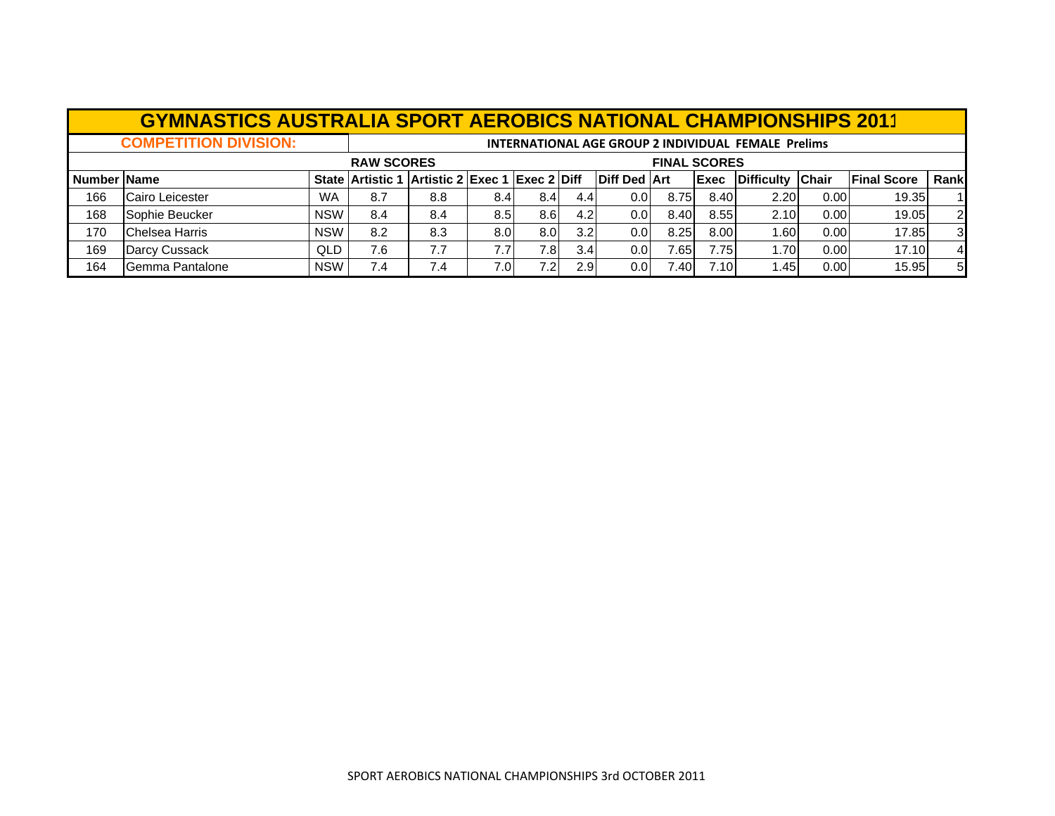|             | <b>GYMNASTICS AUSTRALIA SPORT AEROBICS NATIONAL CHAMPIONSHIPS 2011</b> |            |                                                            |     |                  |                  |                  |                     |       |              |                  |      |                    |                |  |
|-------------|------------------------------------------------------------------------|------------|------------------------------------------------------------|-----|------------------|------------------|------------------|---------------------|-------|--------------|------------------|------|--------------------|----------------|--|
|             | <b>COMPETITION DIVISION:</b>                                           |            | <b>INTERNATIONAL AGE GROUP 2 INDIVIDUAL FEMALE Prelims</b> |     |                  |                  |                  |                     |       |              |                  |      |                    |                |  |
|             |                                                                        |            | <b>RAW SCORES</b><br><b>FINAL SCORES</b>                   |     |                  |                  |                  |                     |       |              |                  |      |                    |                |  |
| Number Name |                                                                        |            | State Artistic 1 Artistic 2 Exec 1 Exec 2 Diff             |     |                  |                  |                  | <b>Diff Ded Art</b> |       | <b>IExec</b> | Difficulty Chair |      | <b>Final Score</b> | Rank           |  |
| 166         | Cairo Leicester                                                        | <b>WA</b>  | 8.7                                                        | 8.8 | 8.4              | 8.4              | 4.4              | 0.01                | 8.75  | 8.40         | 2.20             | 0.00 | 19.35              |                |  |
| 168         | Sophie Beucker                                                         | <b>NSW</b> | 8.4                                                        | 8.4 | 8.5 <sub>1</sub> | 8.6 <sup>1</sup> | 4.2              | 0.01                | 8.40  | 8.55         | 2.10             | 0.00 | 19.05              | <sup>2</sup>   |  |
| 170         | <b>Chelsea Harris</b>                                                  | <b>NSW</b> | 8.2                                                        | 8.3 | 8.0              | 8.0              | 3.2 <sub>l</sub> | 0.01                | 8.25  | 8.00         | 1.60             | 0.00 | 17.85              | $\mathbf{3}$   |  |
| 169         | Darcy Cussack                                                          | QLD.       | 7.6                                                        | 7.7 | 7.7              | 7.8I             | 3.4 <sub>l</sub> | 0.01                | 7.651 | 7.75         | 1.70             | 0.00 | 17.10              | $\overline{4}$ |  |
| 164         | Gemma Pantalone                                                        | <b>NSW</b> | 7.4                                                        | 7.4 | 7.01             | 7.2I             | 2.9              | 0.01                | 7.40  | 7.10         | 1.45             | 0.00 | 15.95              | -5 I           |  |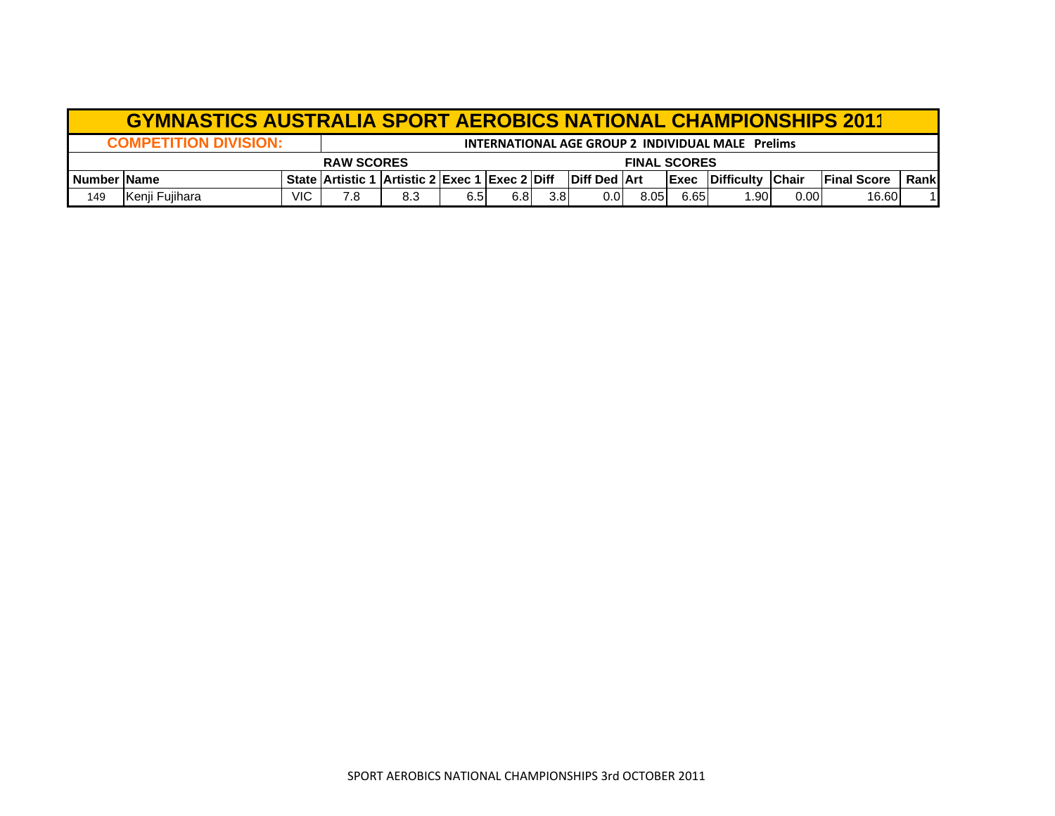|                       | <b>GYMNASTICS AUSTRALIA SPORT AEROBICS NATIONAL CHAMPIONSHIPS 2011</b> |                     |                         |                                     |      |     |                  |                       |      |                                                   |                                |      |                     |       |  |  |  |
|-----------------------|------------------------------------------------------------------------|---------------------|-------------------------|-------------------------------------|------|-----|------------------|-----------------------|------|---------------------------------------------------|--------------------------------|------|---------------------|-------|--|--|--|
|                       | <b>COMPETITION DIVISION:</b>                                           |                     |                         |                                     |      |     |                  |                       |      | INTERNATIONAL AGE GROUP 2 INDIVIDUAL MALE Prelims |                                |      |                     |       |  |  |  |
|                       |                                                                        | <b>FINAL SCORES</b> |                         |                                     |      |     |                  |                       |      |                                                   |                                |      |                     |       |  |  |  |
| <b>I</b> Number IName |                                                                        |                     | <b>State Artistic 1</b> | l  Artistic 2  Exec 1  Exec 2  Diff |      |     |                  | <b>IDiff Ded IArt</b> |      |                                                   | <b>IExec IDifficulty Chair</b> |      | <b>IFinal Score</b> | Rankl |  |  |  |
| 149                   | Kenji Fujihara                                                         | VIC                 | 7.8                     | 8.3                                 | 6.51 | 6.8 | 3.8 <sub>l</sub> | 0.01                  | 8.05 | 6.65                                              | .901                           | 0.00 | 16.60               |       |  |  |  |